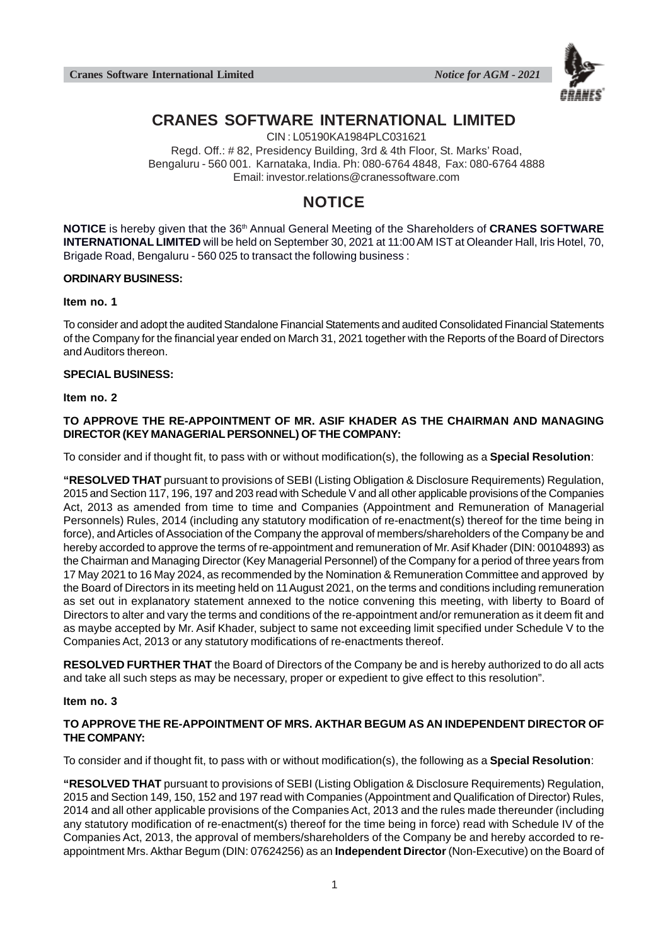

# **CRANES SOFTWARE INTERNATIONAL LIMITED**

CIN : L05190KA1984PLC031621

Regd. Off.: # 82, Presidency Building, 3rd & 4th Floor, St. Marks' Road, Bengaluru - 560 001. Karnataka, India. Ph: 080-6764 4848, Fax: 080-6764 4888 Email: investor.relations@cranessoftware.com

# **NOTICE**

**NOTICE** is hereby given that the 36<sup>th</sup> Annual General Meeting of the Shareholders of **CRANES SOFTWARE INTERNATIONAL LIMITED** will be held on September 30, 2021 at 11:00 AM IST at Oleander Hall, Iris Hotel, 70, Brigade Road, Bengaluru - 560 025 to transact the following business :

## **ORDINARY BUSINESS:**

#### **Item no. 1**

To consider and adopt the audited Standalone Financial Statements and audited Consolidated Financial Statements of the Company for the financial year ended on March 31, 2021 together with the Reports of the Board of Directors and Auditors thereon.

#### **SPECIAL BUSINESS:**

**Item no. 2**

#### **TO APPROVE THE RE-APPOINTMENT OF MR. ASIF KHADER AS THE CHAIRMAN AND MANAGING DIRECTOR (KEY MANAGERIAL PERSONNEL) OF THE COMPANY:**

To consider and if thought fit, to pass with or without modification(s), the following as a **Special Resolution**:

**"RESOLVED THAT** pursuant to provisions of SEBI (Listing Obligation & Disclosure Requirements) Regulation, 2015 and Section 117, 196, 197 and 203 read with Schedule V and all other applicable provisions of the Companies Act, 2013 as amended from time to time and Companies (Appointment and Remuneration of Managerial Personnels) Rules, 2014 (including any statutory modification of re-enactment(s) thereof for the time being in force), and Articles of Association of the Company the approval of members/shareholders of the Company be and hereby accorded to approve the terms of re-appointment and remuneration of Mr. Asif Khader (DIN: 00104893) as the Chairman and Managing Director (Key Managerial Personnel) of the Company for a period of three years from 17 May 2021 to 16 May 2024, as recommended by the Nomination & Remuneration Committee and approved by the Board of Directors in its meeting held on 11August 2021, on the terms and conditions including remuneration as set out in explanatory statement annexed to the notice convening this meeting, with liberty to Board of Directors to alter and vary the terms and conditions of the re-appointment and/or remuneration as it deem fit and as maybe accepted by Mr. Asif Khader, subject to same not exceeding limit specified under Schedule V to the Companies Act, 2013 or any statutory modifications of re-enactments thereof.

**RESOLVED FURTHER THAT** the Board of Directors of the Company be and is hereby authorized to do all acts and take all such steps as may be necessary, proper or expedient to give effect to this resolution".

## **Item no. 3**

## **TO APPROVE THE RE-APPOINTMENT OF MRS. AKTHAR BEGUM AS AN INDEPENDENT DIRECTOR OF THE COMPANY:**

To consider and if thought fit, to pass with or without modification(s), the following as a **Special Resolution**:

**"RESOLVED THAT** pursuant to provisions of SEBI (Listing Obligation & Disclosure Requirements) Regulation, 2015 and Section 149, 150, 152 and 197 read with Companies (Appointment and Qualification of Director) Rules, 2014 and all other applicable provisions of the Companies Act, 2013 and the rules made thereunder (including any statutory modification of re-enactment(s) thereof for the time being in force) read with Schedule IV of the Companies Act, 2013, the approval of members/shareholders of the Company be and hereby accorded to reappointment Mrs. Akthar Begum (DIN: 07624256) as an **Independent Director** (Non-Executive) on the Board of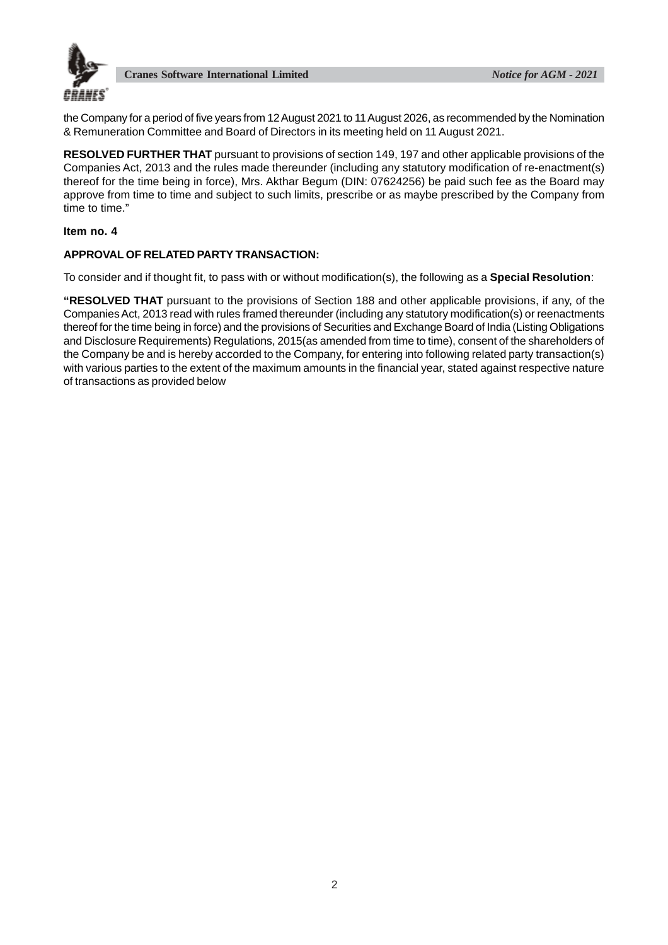

the Company for a period of five years from 12 August 2021 to 11 August 2026, as recommended by the Nomination & Remuneration Committee and Board of Directors in its meeting held on 11 August 2021.

**RESOLVED FURTHER THAT** pursuant to provisions of section 149, 197 and other applicable provisions of the Companies Act, 2013 and the rules made thereunder (including any statutory modification of re-enactment(s) thereof for the time being in force), Mrs. Akthar Begum (DIN: 07624256) be paid such fee as the Board may approve from time to time and subject to such limits, prescribe or as maybe prescribed by the Company from time to time."

## **Item no. 4**

# **APPROVAL OF RELATED PARTY TRANSACTION:**

To consider and if thought fit, to pass with or without modification(s), the following as a **Special Resolution**:

**"RESOLVED THAT** pursuant to the provisions of Section 188 and other applicable provisions, if any, of the Companies Act, 2013 read with rules framed thereunder (including any statutory modification(s) or reenactments thereof for the time being in force) and the provisions of Securities and Exchange Board of India (Listing Obligations and Disclosure Requirements) Regulations, 2015(as amended from time to time), consent of the shareholders of the Company be and is hereby accorded to the Company, for entering into following related party transaction(s) with various parties to the extent of the maximum amounts in the financial year, stated against respective nature of transactions as provided below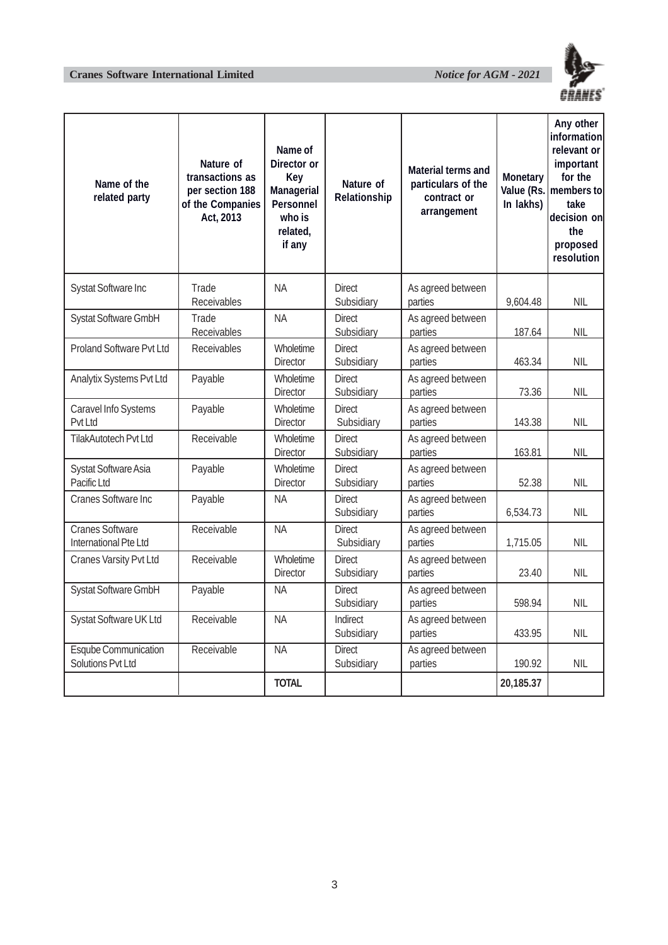

| Name of the<br>related party                     | Nature of<br>transactions as<br>per section 188<br>of the Companies<br>Act, 2013 | Name of<br>Director or<br>Key<br>Managerial<br>Personnel<br>who is<br>related,<br>if any | Nature of<br>Relationship   | Material terms and<br>particulars of the<br>contract or<br>arrangement | Monetary<br>In lakhs) | Any other<br>information<br>relevant or<br>important<br>for the<br>Value (Rs.   members to<br>take<br>decision on<br>the<br>proposed<br>resolution |
|--------------------------------------------------|----------------------------------------------------------------------------------|------------------------------------------------------------------------------------------|-----------------------------|------------------------------------------------------------------------|-----------------------|----------------------------------------------------------------------------------------------------------------------------------------------------|
| Systat Software Inc                              | Trade<br>Receivables                                                             | <b>NA</b>                                                                                | <b>Direct</b><br>Subsidiary | As agreed between<br>parties                                           | 9,604.48              | <b>NIL</b>                                                                                                                                         |
| Systat Software GmbH                             | Trade<br>Receivables                                                             | <b>NA</b>                                                                                | <b>Direct</b><br>Subsidiary | As agreed between<br>parties                                           | 187.64                | <b>NIL</b>                                                                                                                                         |
| Proland Software Pvt Ltd                         | Receivables                                                                      | Wholetime<br><b>Director</b>                                                             | <b>Direct</b><br>Subsidiary | As agreed between<br>parties                                           | 463.34                | <b>NIL</b>                                                                                                                                         |
| Analytix Systems Pvt Ltd                         | Payable                                                                          | Wholetime<br>Director                                                                    | <b>Direct</b><br>Subsidiary | As agreed between<br>parties                                           | 73.36                 | <b>NIL</b>                                                                                                                                         |
| Caravel Info Systems<br>Pvt Ltd                  | Payable                                                                          | Wholetime<br><b>Director</b>                                                             | <b>Direct</b><br>Subsidiary | As agreed between<br>parties                                           | 143.38                | <b>NIL</b>                                                                                                                                         |
| TilakAutotech Pvt Ltd                            | Receivable                                                                       | Wholetime<br><b>Director</b>                                                             | <b>Direct</b><br>Subsidiary | As agreed between<br>parties                                           | 163.81                | <b>NIL</b>                                                                                                                                         |
| Systat Software Asia<br>Pacific Ltd              | Payable                                                                          | Wholetime<br><b>Director</b>                                                             | <b>Direct</b><br>Subsidiary | As agreed between<br>parties                                           | 52.38                 | NIL                                                                                                                                                |
| Cranes Software Inc                              | Payable                                                                          | <b>NA</b>                                                                                | <b>Direct</b><br>Subsidiary | As agreed between<br>parties                                           | 6,534.73              | <b>NIL</b>                                                                                                                                         |
| <b>Cranes Software</b><br>International Pte Ltd  | Receivable                                                                       | <b>NA</b>                                                                                | <b>Direct</b><br>Subsidiary | As agreed between<br>parties                                           | 1,715.05              | <b>NIL</b>                                                                                                                                         |
| Cranes Varsity Pvt Ltd                           | Receivable                                                                       | Wholetime<br><b>Director</b>                                                             | <b>Direct</b><br>Subsidiary | As agreed between<br>parties                                           | 23.40                 | <b>NIL</b>                                                                                                                                         |
| <b>Systat Software GmbH</b>                      | Payable                                                                          | <b>NA</b>                                                                                | <b>Direct</b><br>Subsidiary | As agreed between<br>parties                                           | 598.94                | <b>NIL</b>                                                                                                                                         |
| Systat Software UK Ltd                           | Receivable                                                                       | <b>NA</b>                                                                                | Indirect<br>Subsidiary      | As agreed between<br>parties                                           | 433.95                | <b>NIL</b>                                                                                                                                         |
| <b>Esqube Communication</b><br>Solutions Pvt Ltd | Receivable                                                                       | $\overline{\mathsf{NA}}$                                                                 | <b>Direct</b><br>Subsidiary | As agreed between<br>parties                                           | 190.92                | <b>NIL</b>                                                                                                                                         |
|                                                  |                                                                                  | <b>TOTAL</b>                                                                             |                             |                                                                        | 20,185.37             |                                                                                                                                                    |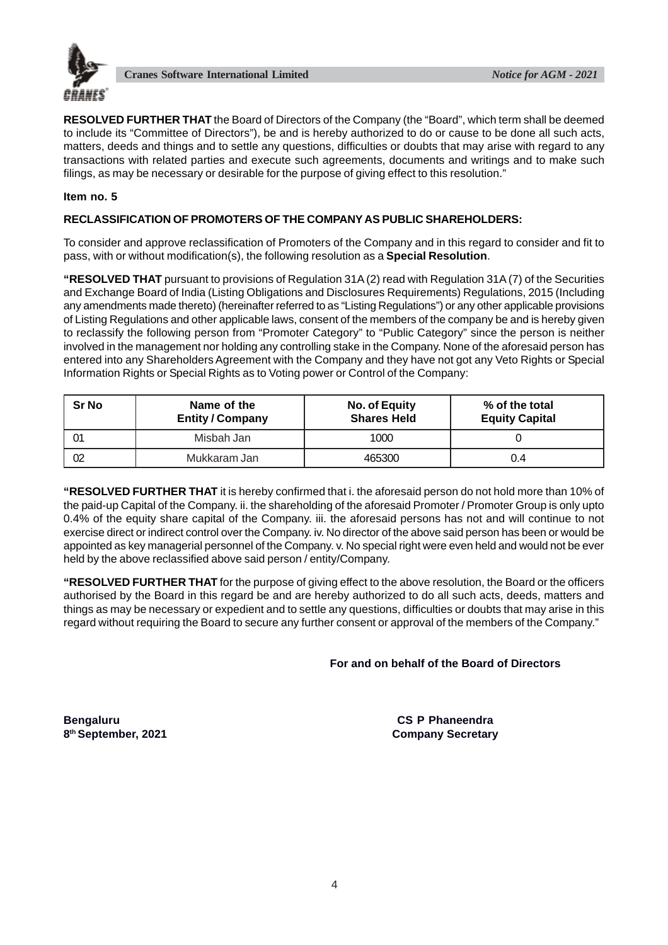

**RESOLVED FURTHER THAT** the Board of Directors of the Company (the "Board", which term shall be deemed to include its "Committee of Directors"), be and is hereby authorized to do or cause to be done all such acts, matters, deeds and things and to settle any questions, difficulties or doubts that may arise with regard to any transactions with related parties and execute such agreements, documents and writings and to make such filings, as may be necessary or desirable for the purpose of giving effect to this resolution."

#### **Item no. 5**

#### **RECLASSIFICATION OF PROMOTERS OF THE COMPANY AS PUBLIC SHAREHOLDERS:**

To consider and approve reclassification of Promoters of the Company and in this regard to consider and fit to pass, with or without modification(s), the following resolution as a **Special Resolution**.

**"RESOLVED THAT** pursuant to provisions of Regulation 31A (2) read with Regulation 31A (7) of the Securities and Exchange Board of India (Listing Obligations and Disclosures Requirements) Regulations, 2015 (Including any amendments made thereto) (hereinafter referred to as "Listing Regulations") or any other applicable provisions of Listing Regulations and other applicable laws, consent of the members of the company be and is hereby given to reclassify the following person from "Promoter Category" to "Public Category" since the person is neither involved in the management nor holding any controlling stake in the Company. None of the aforesaid person has entered into any Shareholders Agreement with the Company and they have not got any Veto Rights or Special Information Rights or Special Rights as to Voting power or Control of the Company:

| <b>Sr No</b> | Name of the<br><b>Entity / Company</b> | No. of Equity<br><b>Shares Held</b> | % of the total<br><b>Equity Capital</b> |
|--------------|----------------------------------------|-------------------------------------|-----------------------------------------|
| 01           | Misbah Jan                             | 1000                                |                                         |
| 02           | Mukkaram Jan                           | 465300                              | 0.4                                     |

**"RESOLVED FURTHER THAT** it is hereby confirmed that i. the aforesaid person do not hold more than 10% of the paid-up Capital of the Company. ii. the shareholding of the aforesaid Promoter / Promoter Group is only upto 0.4% of the equity share capital of the Company. iii. the aforesaid persons has not and will continue to not exercise direct or indirect control over the Company. iv. No director of the above said person has been or would be appointed as key managerial personnel of the Company. v. No special right were even held and would not be ever held by the above reclassified above said person / entity/Company.

**"RESOLVED FURTHER THAT** for the purpose of giving effect to the above resolution, the Board or the officers authorised by the Board in this regard be and are hereby authorized to do all such acts, deeds, matters and things as may be necessary or expedient and to settle any questions, difficulties or doubts that may arise in this regard without requiring the Board to secure any further consent or approval of the members of the Company."

## **For and on behalf of the Board of Directors**

**Bengaluru CS P Phaneendra** 

**8<sup>th</sup> September, 2021** Company Secretary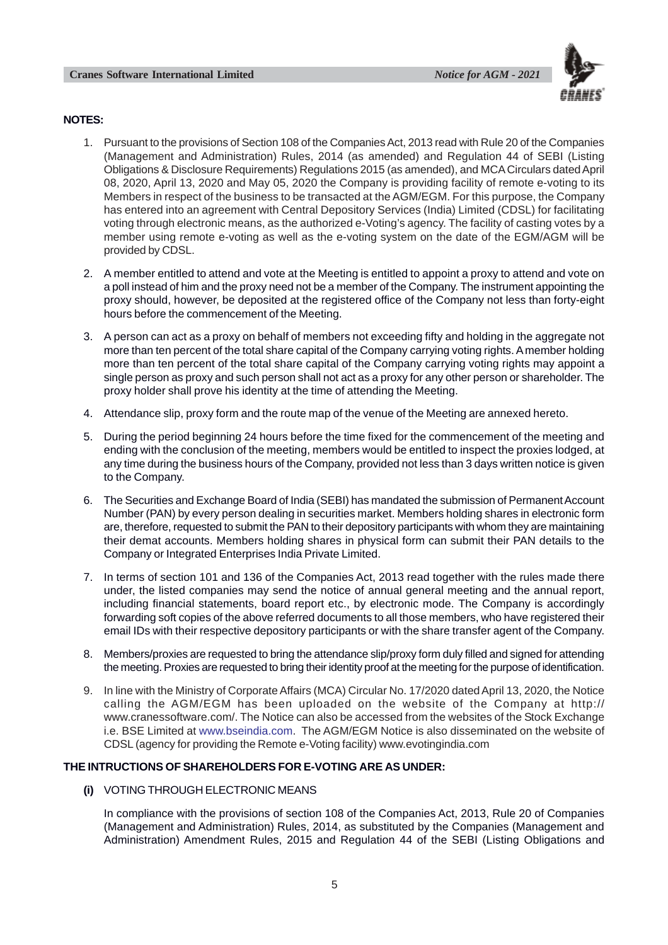

#### **NOTES:**

- 1. Pursuant to the provisions of Section 108 of the Companies Act, 2013 read with Rule 20 of the Companies (Management and Administration) Rules, 2014 (as amended) and Regulation 44 of SEBI (Listing Obligations & Disclosure Requirements) Regulations 2015 (as amended), and MCA Circulars dated April 08, 2020, April 13, 2020 and May 05, 2020 the Company is providing facility of remote e-voting to its Members in respect of the business to be transacted at the AGM/EGM. For this purpose, the Company has entered into an agreement with Central Depository Services (India) Limited (CDSL) for facilitating voting through electronic means, as the authorized e-Voting's agency. The facility of casting votes by a member using remote e-voting as well as the e-voting system on the date of the EGM/AGM will be provided by CDSL.
- 2. A member entitled to attend and vote at the Meeting is entitled to appoint a proxy to attend and vote on a poll instead of him and the proxy need not be a member of the Company. The instrument appointing the proxy should, however, be deposited at the registered office of the Company not less than forty-eight hours before the commencement of the Meeting.
- 3. A person can act as a proxy on behalf of members not exceeding fifty and holding in the aggregate not more than ten percent of the total share capital of the Company carrying voting rights. A member holding more than ten percent of the total share capital of the Company carrying voting rights may appoint a single person as proxy and such person shall not act as a proxy for any other person or shareholder. The proxy holder shall prove his identity at the time of attending the Meeting.
- 4. Attendance slip, proxy form and the route map of the venue of the Meeting are annexed hereto.
- 5. During the period beginning 24 hours before the time fixed for the commencement of the meeting and ending with the conclusion of the meeting, members would be entitled to inspect the proxies lodged, at any time during the business hours of the Company, provided not less than 3 days written notice is given to the Company.
- 6. The Securities and Exchange Board of India (SEBI) has mandated the submission of Permanent Account Number (PAN) by every person dealing in securities market. Members holding shares in electronic form are, therefore, requested to submit the PAN to their depository participants with whom they are maintaining their demat accounts. Members holding shares in physical form can submit their PAN details to the Company or Integrated Enterprises India Private Limited.
- 7. In terms of section 101 and 136 of the Companies Act, 2013 read together with the rules made there under, the listed companies may send the notice of annual general meeting and the annual report, including financial statements, board report etc., by electronic mode. The Company is accordingly forwarding soft copies of the above referred documents to all those members, who have registered their email IDs with their respective depository participants or with the share transfer agent of the Company.
- 8. Members/proxies are requested to bring the attendance slip/proxy form duly filled and signed for attending the meeting. Proxies are requested to bring their identity proof at the meeting for the purpose of identification.
- 9. In line with the Ministry of Corporate Affairs (MCA) Circular No. 17/2020 dated April 13, 2020, the Notice calling the AGM/EGM has been uploaded on the website of the Company at http:// www.cranessoftware.com/. The Notice can also be accessed from the websites of the Stock Exchange i.e. BSE Limited at www.bseindia.com. The AGM/EGM Notice is also disseminated on the website of CDSL (agency for providing the Remote e-Voting facility) www.evotingindia.com

#### **THE INTRUCTIONS OF SHAREHOLDERS FOR E-VOTING ARE AS UNDER:**

**(i)** VOTING THROUGH ELECTRONIC MEANS

In compliance with the provisions of section 108 of the Companies Act, 2013, Rule 20 of Companies (Management and Administration) Rules, 2014, as substituted by the Companies (Management and Administration) Amendment Rules, 2015 and Regulation 44 of the SEBI (Listing Obligations and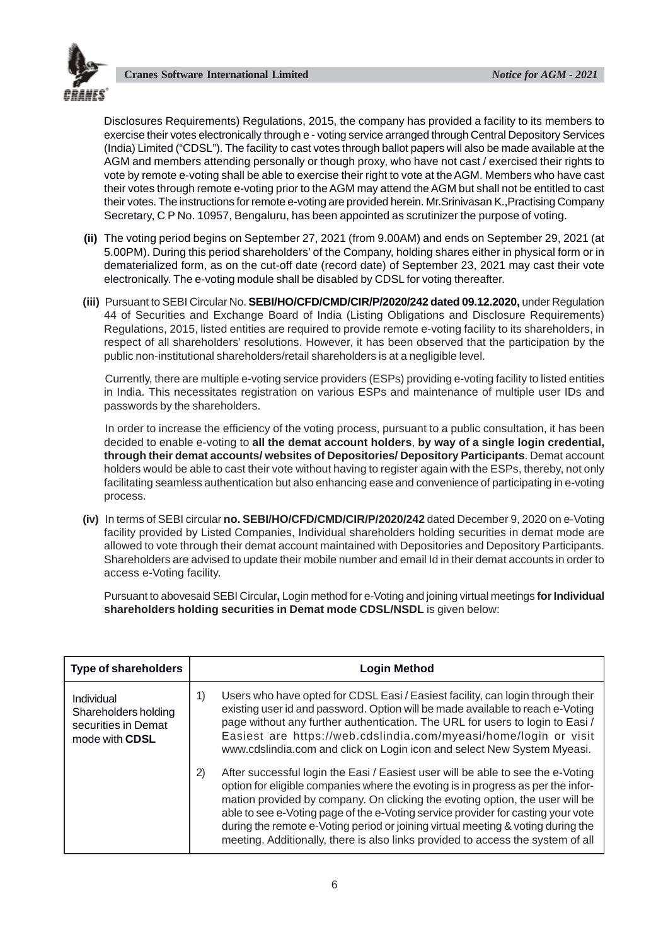

Disclosures Requirements) Regulations, 2015, the company has provided a facility to its members to exercise their votes electronically through e - voting service arranged through Central Depository Services (India) Limited ("CDSL"). The facility to cast votes through ballot papers will also be made available at the AGM and members attending personally or though proxy, who have not cast / exercised their rights to vote by remote e-voting shall be able to exercise their right to vote at the AGM. Members who have cast their votes through remote e-voting prior to the AGM may attend the AGM but shall not be entitled to cast their votes. The instructions for remote e-voting are provided herein. Mr.Srinivasan K.,Practising Company Secretary, C P No. 10957, Bengaluru, has been appointed as scrutinizer the purpose of voting.

- **(ii)** The voting period begins on September 27, 2021 (from 9.00AM) and ends on September 29, 2021 (at 5.00PM). During this period shareholders' of the Company, holding shares either in physical form or in dematerialized form, as on the cut-off date (record date) of September 23, 2021 may cast their vote electronically. The e-voting module shall be disabled by CDSL for voting thereafter.
- **(iii)** Pursuant to SEBI Circular No. **SEBI/HO/CFD/CMD/CIR/P/2020/242 dated 09.12.2020,** under Regulation 44 of Securities and Exchange Board of India (Listing Obligations and Disclosure Requirements) Regulations, 2015, listed entities are required to provide remote e-voting facility to its shareholders, in respect of all shareholders' resolutions. However, it has been observed that the participation by the public non-institutional shareholders/retail shareholders is at a negligible level.

Currently, there are multiple e-voting service providers (ESPs) providing e-voting facility to listed entities in India. This necessitates registration on various ESPs and maintenance of multiple user IDs and passwords by the shareholders.

In order to increase the efficiency of the voting process, pursuant to a public consultation, it has been decided to enable e-voting to **all the demat account holders**, **by way of a single login credential, through their demat accounts/ websites of Depositories/ Depository Participants**. Demat account holders would be able to cast their vote without having to register again with the ESPs, thereby, not only facilitating seamless authentication but also enhancing ease and convenience of participating in e-voting process.

**(iv)** In terms of SEBI circular **no. SEBI/HO/CFD/CMD/CIR/P/2020/242** dated December 9, 2020 on e-Voting facility provided by Listed Companies, Individual shareholders holding securities in demat mode are allowed to vote through their demat account maintained with Depositories and Depository Participants. Shareholders are advised to update their mobile number and email Id in their demat accounts in order to access e-Voting facility.

Pursuant to abovesaid SEBI Circular**,** Login method for e-Voting and joining virtual meetings **for Individual shareholders holding securities in Demat mode CDSL/NSDL** is given below:

| <b>Type of shareholders</b>                                                 |              | <b>Login Method</b>                                                                                                                                                                                                                                                                                                                                                                                                                                                                                            |
|-----------------------------------------------------------------------------|--------------|----------------------------------------------------------------------------------------------------------------------------------------------------------------------------------------------------------------------------------------------------------------------------------------------------------------------------------------------------------------------------------------------------------------------------------------------------------------------------------------------------------------|
| Individual<br>Shareholders holding<br>securities in Demat<br>mode with CDSL |              | Users who have opted for CDSL Easi / Easiest facility, can login through their<br>existing user id and password. Option will be made available to reach e-Voting<br>page without any further authentication. The URL for users to login to Easi /<br>Easiest are https://web.cdslindia.com/myeasi/home/login or visit<br>www.cdslindia.com and click on Login icon and select New System Myeasi.                                                                                                               |
|                                                                             | $\mathbf{2}$ | After successful login the Easi / Easiest user will be able to see the e-Voting<br>option for eligible companies where the evoting is in progress as per the infor-<br>mation provided by company. On clicking the evoting option, the user will be<br>able to see e-Voting page of the e-Voting service provider for casting your vote<br>during the remote e-Voting period or joining virtual meeting & voting during the<br>meeting. Additionally, there is also links provided to access the system of all |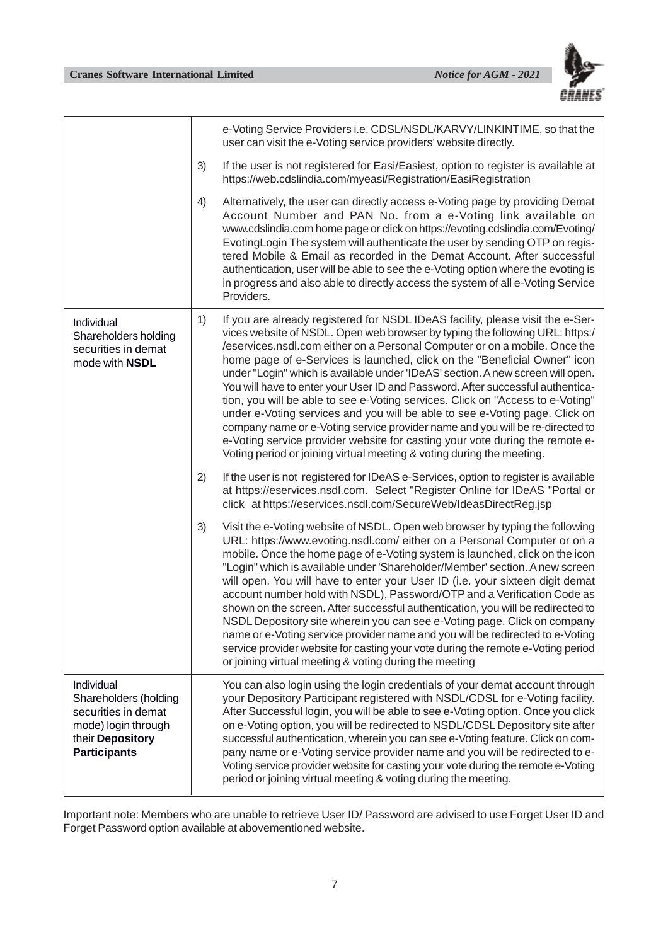

|                                                                                                                              |    | e-Voting Service Providers i.e. CDSL/NSDL/KARVY/LINKINTIME, so that the<br>user can visit the e-Voting service providers' website directly.                                                                                                                                                                                                                                                                                                                                                                                                                                                                                                                                                                                                                                                                                                                                                               |
|------------------------------------------------------------------------------------------------------------------------------|----|-----------------------------------------------------------------------------------------------------------------------------------------------------------------------------------------------------------------------------------------------------------------------------------------------------------------------------------------------------------------------------------------------------------------------------------------------------------------------------------------------------------------------------------------------------------------------------------------------------------------------------------------------------------------------------------------------------------------------------------------------------------------------------------------------------------------------------------------------------------------------------------------------------------|
|                                                                                                                              | 3) | If the user is not registered for Easi/Easiest, option to register is available at<br>https://web.cdslindia.com/myeasi/Registration/EasiRegistration                                                                                                                                                                                                                                                                                                                                                                                                                                                                                                                                                                                                                                                                                                                                                      |
|                                                                                                                              | 4) | Alternatively, the user can directly access e-Voting page by providing Demat<br>Account Number and PAN No. from a e-Voting link available on<br>www.cdslindia.com home page or click on https://evoting.cdslindia.com/Evoting/<br>Evoting Login The system will authenticate the user by sending OTP on regis-<br>tered Mobile & Email as recorded in the Demat Account. After successful<br>authentication, user will be able to see the e-Voting option where the evoting is<br>in progress and also able to directly access the system of all e-Voting Service<br>Providers.                                                                                                                                                                                                                                                                                                                           |
| Individual<br>Shareholders holding<br>securities in demat<br>mode with NSDL                                                  | 1) | If you are already registered for NSDL IDeAS facility, please visit the e-Ser-<br>vices website of NSDL. Open web browser by typing the following URL: https:/<br>/eservices.nsdl.com either on a Personal Computer or on a mobile. Once the<br>home page of e-Services is launched, click on the "Beneficial Owner" icon<br>under "Login" which is available under 'IDeAS' section. A new screen will open.<br>You will have to enter your User ID and Password. After successful authentica-<br>tion, you will be able to see e-Voting services. Click on "Access to e-Voting"<br>under e-Voting services and you will be able to see e-Voting page. Click on<br>company name or e-Voting service provider name and you will be re-directed to<br>e-Voting service provider website for casting your vote during the remote e-<br>Voting period or joining virtual meeting & voting during the meeting. |
|                                                                                                                              | 2) | If the user is not registered for IDeAS e-Services, option to register is available<br>at https://eservices.nsdl.com. Select "Register Online for IDeAS "Portal or<br>click at https://eservices.nsdl.com/SecureWeb/IdeasDirectReg.jsp                                                                                                                                                                                                                                                                                                                                                                                                                                                                                                                                                                                                                                                                    |
|                                                                                                                              | 3) | Visit the e-Voting website of NSDL. Open web browser by typing the following<br>URL: https://www.evoting.nsdl.com/ either on a Personal Computer or on a<br>mobile. Once the home page of e-Voting system is launched, click on the icon<br>"Login" which is available under 'Shareholder/Member' section. A new screen<br>will open. You will have to enter your User ID (i.e. your sixteen digit demat<br>account number hold with NSDL), Password/OTP and a Verification Code as<br>shown on the screen. After successful authentication, you will be redirected to<br>NSDL Depository site wherein you can see e-Voting page. Click on company<br>name or e-Voting service provider name and you will be redirected to e-Voting<br>service provider website for casting your vote during the remote e-Voting period<br>or joining virtual meeting & voting during the meeting                         |
| Individual<br>Shareholders (holding<br>securities in demat<br>mode) login through<br>their Depository<br><b>Participants</b> |    | You can also login using the login credentials of your demat account through<br>your Depository Participant registered with NSDL/CDSL for e-Voting facility.<br>After Successful login, you will be able to see e-Voting option. Once you click<br>on e-Voting option, you will be redirected to NSDL/CDSL Depository site after<br>successful authentication, wherein you can see e-Voting feature. Click on com-<br>pany name or e-Voting service provider name and you will be redirected to e-<br>Voting service provider website for casting your vote during the remote e-Voting<br>period or joining virtual meeting & voting during the meeting.                                                                                                                                                                                                                                                  |

Important note: Members who are unable to retrieve User ID/ Password are advised to use Forget User ID and Forget Password option available at abovementioned website.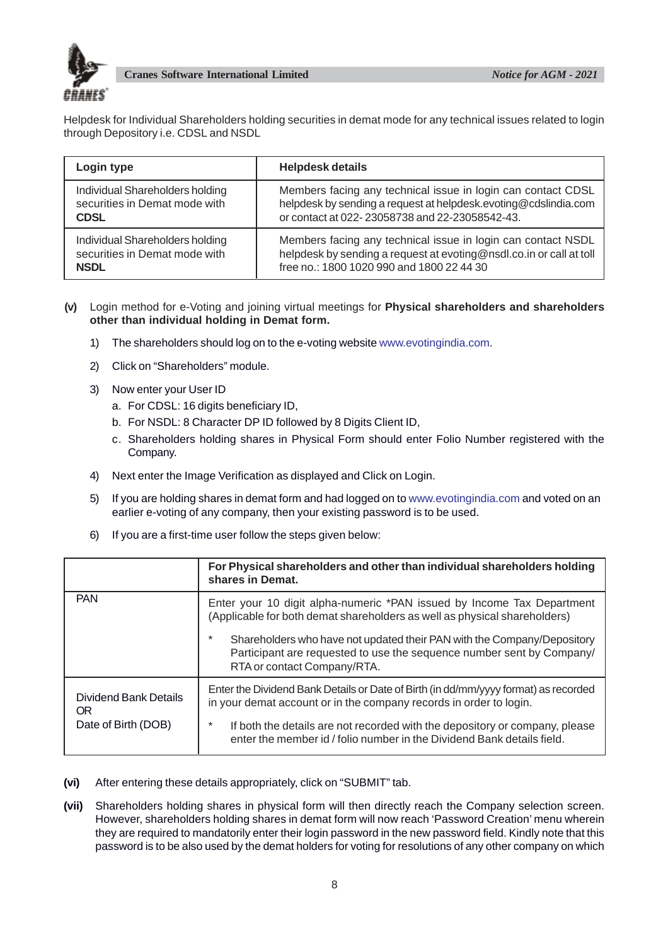

Helpdesk for Individual Shareholders holding securities in demat mode for any technical issues related to login through Depository i.e. CDSL and NSDL

| Login type                      | <b>Helpdesk details</b>                                             |
|---------------------------------|---------------------------------------------------------------------|
| Individual Shareholders holding | Members facing any technical issue in login can contact CDSL        |
| securities in Demat mode with   | helpdesk by sending a request at helpdesk.evoting@cdslindia.com     |
| <b>CDSL</b>                     | or contact at 022-23058738 and 22-23058542-43.                      |
| Individual Shareholders holding | Members facing any technical issue in login can contact NSDL        |
| securities in Demat mode with   | helpdesk by sending a request at evoting@nsdl.co.in or call at toll |
| <b>NSDL</b>                     | free no.: 1800 1020 990 and 1800 22 44 30                           |

**(v)** Login method for e-Voting and joining virtual meetings for **Physical shareholders and shareholders other than individual holding in Demat form.**

- 1) The shareholders should log on to the e-voting website www.evotingindia.com.
- 2) Click on "Shareholders" module.
- 3) Now enter your User ID
	- a. For CDSL: 16 digits beneficiary ID,
	- b. For NSDL: 8 Character DP ID followed by 8 Digits Client ID,
	- c. Shareholders holding shares in Physical Form should enter Folio Number registered with the Company.
- 4) Next enter the Image Verification as displayed and Click on Login.
- 5) If you are holding shares in demat form and had logged on to www.evotingindia.com and voted on an earlier e-voting of any company, then your existing password is to be used.
- 6) If you are a first-time user follow the steps given below:

|                             | For Physical shareholders and other than individual shareholders holding<br>shares in Demat.                                                                                         |
|-----------------------------|--------------------------------------------------------------------------------------------------------------------------------------------------------------------------------------|
| <b>PAN</b>                  | Enter your 10 digit alpha-numeric *PAN issued by Income Tax Department<br>(Applicable for both demat shareholders as well as physical shareholders)                                  |
|                             | *<br>Shareholders who have not updated their PAN with the Company/Depository<br>Participant are requested to use the sequence number sent by Company/<br>RTA or contact Company/RTA. |
| Dividend Bank Details<br>ΟR | Enter the Dividend Bank Details or Date of Birth (in dd/mm/yyyy format) as recorded<br>in your demat account or in the company records in order to login.                            |
| Date of Birth (DOB)         | *<br>If both the details are not recorded with the depository or company, please<br>enter the member id / folio number in the Dividend Bank details field.                           |

- **(vi)** After entering these details appropriately, click on "SUBMIT" tab.
- **(vii)** Shareholders holding shares in physical form will then directly reach the Company selection screen. However, shareholders holding shares in demat form will now reach 'Password Creation' menu wherein they are required to mandatorily enter their login password in the new password field. Kindly note that this password is to be also used by the demat holders for voting for resolutions of any other company on which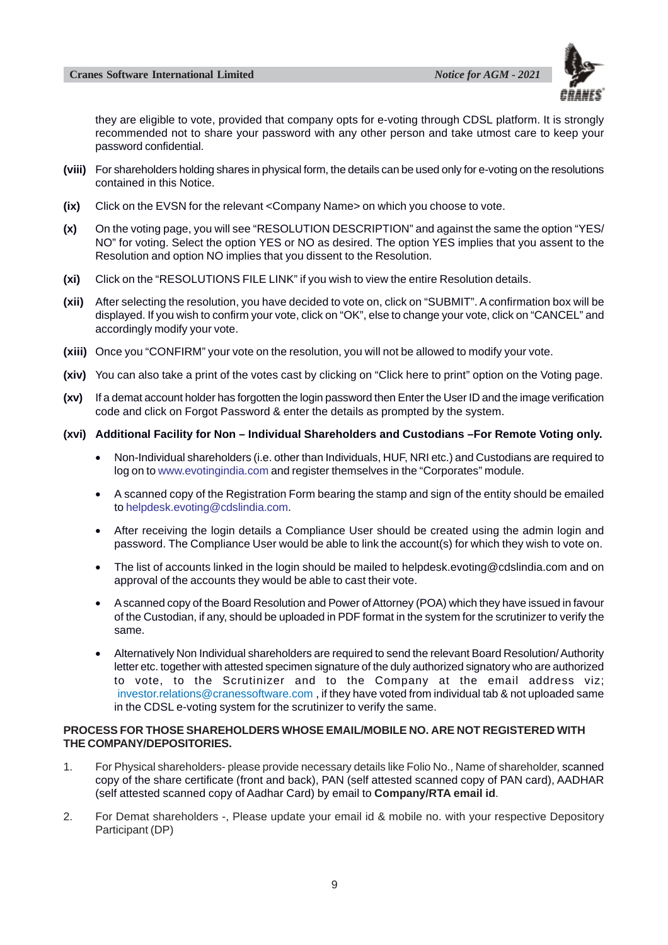

they are eligible to vote, provided that company opts for e-voting through CDSL platform. It is strongly recommended not to share your password with any other person and take utmost care to keep your password confidential.

- **(viii)** For shareholders holding shares in physical form, the details can be used only for e-voting on the resolutions contained in this Notice.
- **(ix)** Click on the EVSN for the relevant <Company Name> on which you choose to vote.
- **(x)** On the voting page, you will see "RESOLUTION DESCRIPTION" and against the same the option "YES/ NO" for voting. Select the option YES or NO as desired. The option YES implies that you assent to the Resolution and option NO implies that you dissent to the Resolution.
- **(xi)** Click on the "RESOLUTIONS FILE LINK" if you wish to view the entire Resolution details.
- **(xii)** After selecting the resolution, you have decided to vote on, click on "SUBMIT". A confirmation box will be displayed. If you wish to confirm your vote, click on "OK", else to change your vote, click on "CANCEL" and accordingly modify your vote.
- **(xiii)** Once you "CONFIRM" your vote on the resolution, you will not be allowed to modify your vote.
- **(xiv)** You can also take a print of the votes cast by clicking on "Click here to print" option on the Voting page.
- **(xv)** If a demat account holder has forgotten the login password then Enter the User ID and the image verification code and click on Forgot Password & enter the details as prompted by the system.
- **(xvi) Additional Facility for Non Individual Shareholders and Custodians –For Remote Voting only.**
	- Non-Individual shareholders (i.e. other than Individuals, HUF, NRI etc.) and Custodians are required to log on to www.evotingindia.com and register themselves in the "Corporates" module.
	- A scanned copy of the Registration Form bearing the stamp and sign of the entity should be emailed to helpdesk.evoting@cdslindia.com.
	- After receiving the login details a Compliance User should be created using the admin login and password. The Compliance User would be able to link the account(s) for which they wish to vote on.
	- The list of accounts linked in the login should be mailed to helpdesk.evoting@cdslindia.com and on approval of the accounts they would be able to cast their vote.
	- A scanned copy of the Board Resolution and Power of Attorney (POA) which they have issued in favour of the Custodian, if any, should be uploaded in PDF format in the system for the scrutinizer to verify the same.
	- Alternatively Non Individual shareholders are required to send the relevant Board Resolution/ Authority letter etc. together with attested specimen signature of the duly authorized signatory who are authorized to vote, to the Scrutinizer and to the Company at the email address viz; investor.relations@cranessoftware.com , if they have voted from individual tab & not uploaded same in the CDSL e-voting system for the scrutinizer to verify the same.

## **PROCESS FOR THOSE SHAREHOLDERS WHOSE EMAIL/MOBILE NO. ARE NOT REGISTERED WITH THE COMPANY/DEPOSITORIES.**

- 1. For Physical shareholders- please provide necessary details like Folio No., Name of shareholder, scanned copy of the share certificate (front and back), PAN (self attested scanned copy of PAN card), AADHAR (self attested scanned copy of Aadhar Card) by email to **Company/RTA email id**.
- 2. For Demat shareholders -, Please update your email id & mobile no. with your respective Depository Participant (DP)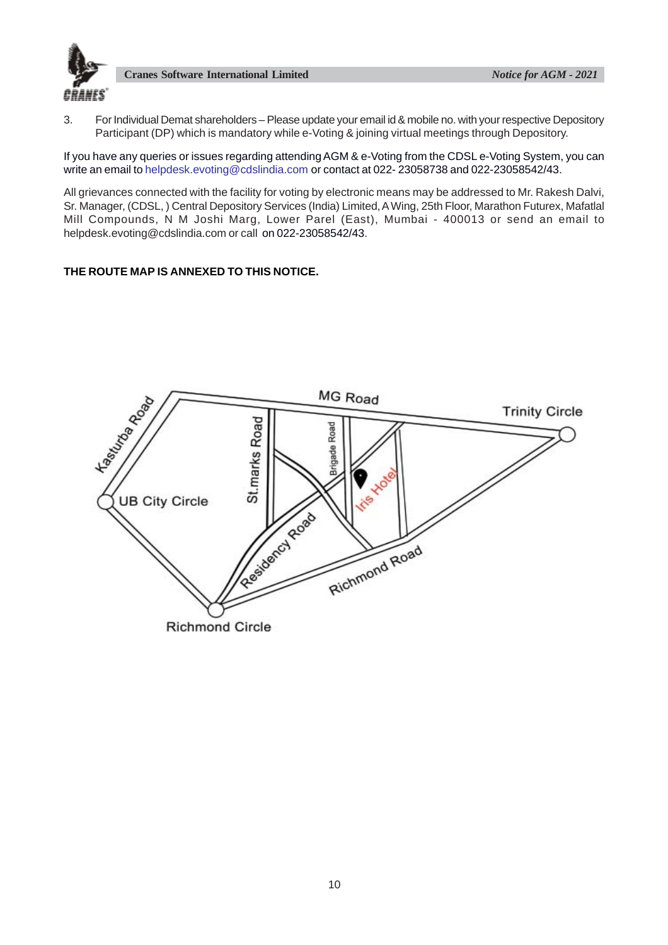

3. For Individual Demat shareholders – Please update your email id & mobile no. with your respective Depository Participant (DP) which is mandatory while e-Voting & joining virtual meetings through Depository.

If you have any queries or issues regarding attending AGM & e-Voting from the CDSL e-Voting System, you can write an email to helpdesk.evoting@cdslindia.com or contact at 022- 23058738 and 022-23058542/43.

All grievances connected with the facility for voting by electronic means may be addressed to Mr. Rakesh Dalvi, Sr. Manager, (CDSL, ) Central Depository Services (India) Limited, A Wing, 25th Floor, Marathon Futurex, Mafatlal Mill Compounds, N M Joshi Marg, Lower Parel (East), Mumbai - 400013 or send an email to helpdesk.evoting@cdslindia.com or call on 022-23058542/43.

## **THE ROUTE MAP IS ANNEXED TO THIS NOTICE.**

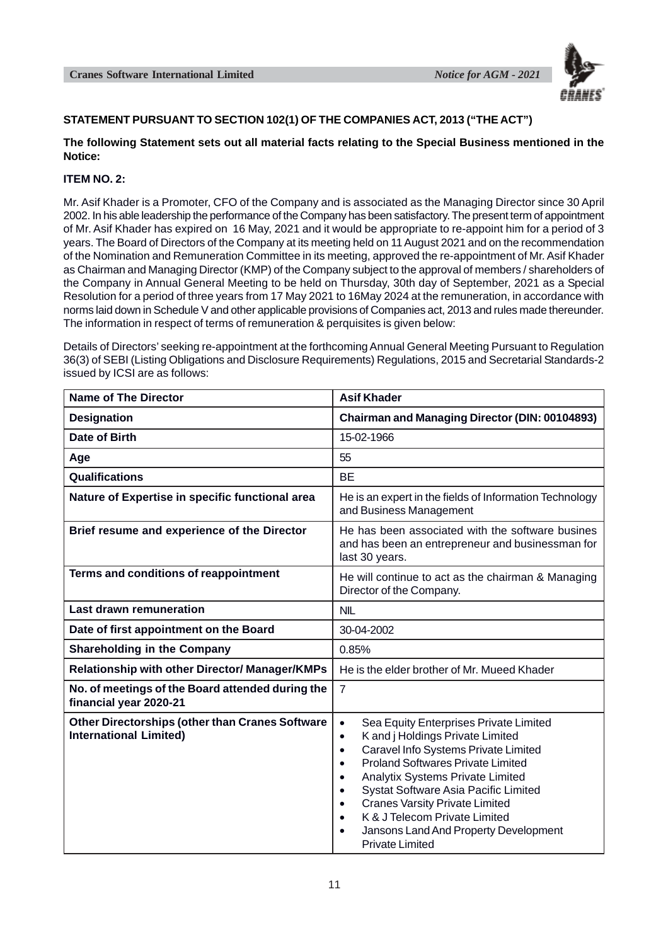

## **STATEMENT PURSUANT TO SECTION 102(1) OF THE COMPANIES ACT, 2013 ("THE ACT")**

#### **The following Statement sets out all material facts relating to the Special Business mentioned in the Notice:**

#### **ITEM NO. 2:**

Mr. Asif Khader is a Promoter, CFO of the Company and is associated as the Managing Director since 30 April 2002. In his able leadership the performance of the Company has been satisfactory. The present term of appointment of Mr. Asif Khader has expired on 16 May, 2021 and it would be appropriate to re-appoint him for a period of 3 years. The Board of Directors of the Company at its meeting held on 11 August 2021 and on the recommendation of the Nomination and Remuneration Committee in its meeting, approved the re-appointment of Mr. Asif Khader as Chairman and Managing Director (KMP) of the Company subject to the approval of members / shareholders of the Company in Annual General Meeting to be held on Thursday, 30th day of September, 2021 as a Special Resolution for a period of three years from 17 May 2021 to 16May 2024 at the remuneration, in accordance with norms laid down in Schedule V and other applicable provisions of Companies act, 2013 and rules made thereunder. The information in respect of terms of remuneration & perquisites is given below:

Details of Directors' seeking re-appointment at the forthcoming Annual General Meeting Pursuant to Regulation 36(3) of SEBI (Listing Obligations and Disclosure Requirements) Regulations, 2015 and Secretarial Standards-2 issued by ICSI are as follows:

| <b>Name of The Director</b>                                                             | <b>Asif Khader</b>                                                                                                                                                                                                                                                                                                                                                                                                                                                                                           |  |  |
|-----------------------------------------------------------------------------------------|--------------------------------------------------------------------------------------------------------------------------------------------------------------------------------------------------------------------------------------------------------------------------------------------------------------------------------------------------------------------------------------------------------------------------------------------------------------------------------------------------------------|--|--|
| <b>Designation</b>                                                                      | <b>Chairman and Managing Director (DIN: 00104893)</b>                                                                                                                                                                                                                                                                                                                                                                                                                                                        |  |  |
| <b>Date of Birth</b>                                                                    | 15-02-1966                                                                                                                                                                                                                                                                                                                                                                                                                                                                                                   |  |  |
| Age                                                                                     | 55                                                                                                                                                                                                                                                                                                                                                                                                                                                                                                           |  |  |
| Qualifications                                                                          | <b>BE</b>                                                                                                                                                                                                                                                                                                                                                                                                                                                                                                    |  |  |
| Nature of Expertise in specific functional area                                         | He is an expert in the fields of Information Technology<br>and Business Management                                                                                                                                                                                                                                                                                                                                                                                                                           |  |  |
| Brief resume and experience of the Director                                             | He has been associated with the software busines<br>and has been an entrepreneur and businessman for<br>last 30 years.                                                                                                                                                                                                                                                                                                                                                                                       |  |  |
| Terms and conditions of reappointment                                                   | He will continue to act as the chairman & Managing<br>Director of the Company.                                                                                                                                                                                                                                                                                                                                                                                                                               |  |  |
| <b>Last drawn remuneration</b>                                                          | <b>NIL</b>                                                                                                                                                                                                                                                                                                                                                                                                                                                                                                   |  |  |
| Date of first appointment on the Board                                                  | 30-04-2002                                                                                                                                                                                                                                                                                                                                                                                                                                                                                                   |  |  |
| <b>Shareholding in the Company</b>                                                      | 0.85%                                                                                                                                                                                                                                                                                                                                                                                                                                                                                                        |  |  |
| <b>Relationship with other Director/ Manager/KMPs</b>                                   | He is the elder brother of Mr. Mueed Khader                                                                                                                                                                                                                                                                                                                                                                                                                                                                  |  |  |
| No. of meetings of the Board attended during the<br>financial year 2020-21              | $\overline{7}$                                                                                                                                                                                                                                                                                                                                                                                                                                                                                               |  |  |
| <b>Other Directorships (other than Cranes Software</b><br><b>International Limited)</b> | Sea Equity Enterprises Private Limited<br>$\bullet$<br>K and j Holdings Private Limited<br>$\bullet$<br>Caravel Info Systems Private Limited<br>$\bullet$<br><b>Proland Softwares Private Limited</b><br>$\bullet$<br>Analytix Systems Private Limited<br>$\bullet$<br>Systat Software Asia Pacific Limited<br>$\bullet$<br><b>Cranes Varsity Private Limited</b><br>$\bullet$<br>K & J Telecom Private Limited<br>$\bullet$<br>Jansons Land And Property Development<br>$\bullet$<br><b>Private Limited</b> |  |  |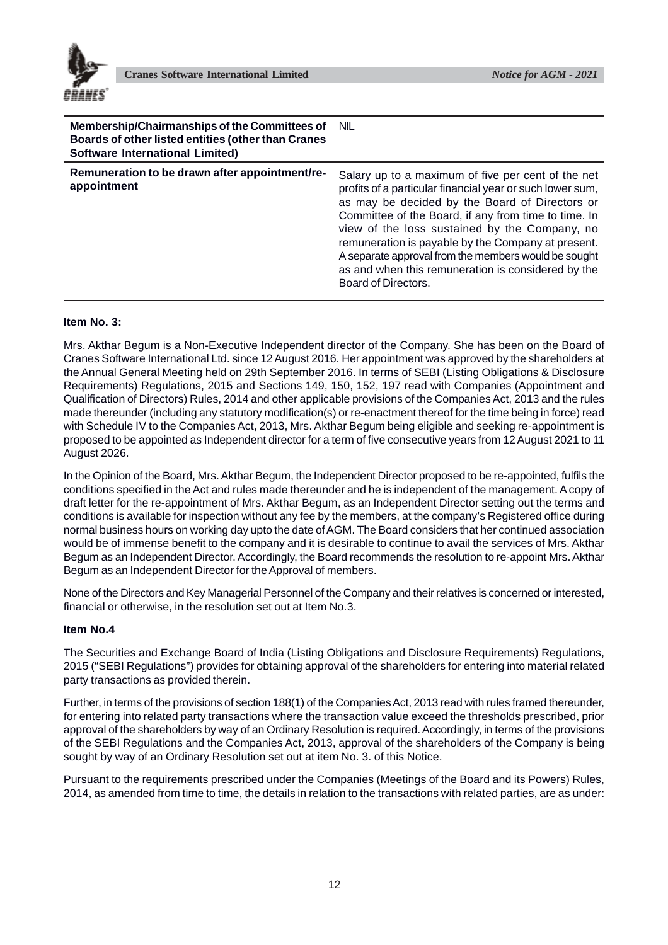

| Membership/Chairmanships of the Committees of<br>Boards of other listed entities (other than Cranes<br><b>Software International Limited)</b> | <b>NIL</b>                                                                                                                                                                                                                                                                                                                                                                                                                                                            |
|-----------------------------------------------------------------------------------------------------------------------------------------------|-----------------------------------------------------------------------------------------------------------------------------------------------------------------------------------------------------------------------------------------------------------------------------------------------------------------------------------------------------------------------------------------------------------------------------------------------------------------------|
| Remuneration to be drawn after appointment/re-<br>appointment                                                                                 | Salary up to a maximum of five per cent of the net<br>profits of a particular financial year or such lower sum,<br>as may be decided by the Board of Directors or<br>Committee of the Board, if any from time to time. In<br>view of the loss sustained by the Company, no<br>remuneration is payable by the Company at present.<br>A separate approval from the members would be sought<br>as and when this remuneration is considered by the<br>Board of Directors. |

## **Item No. 3:**

Mrs. Akthar Begum is a Non-Executive Independent director of the Company. She has been on the Board of Cranes Software International Ltd. since 12 August 2016. Her appointment was approved by the shareholders at the Annual General Meeting held on 29th September 2016. In terms of SEBI (Listing Obligations & Disclosure Requirements) Regulations, 2015 and Sections 149, 150, 152, 197 read with Companies (Appointment and Qualification of Directors) Rules, 2014 and other applicable provisions of the Companies Act, 2013 and the rules made thereunder (including any statutory modification(s) or re-enactment thereof for the time being in force) read with Schedule IV to the Companies Act, 2013, Mrs. Akthar Begum being eligible and seeking re-appointment is proposed to be appointed as Independent director for a term of five consecutive years from 12 August 2021 to 11 August 2026.

In the Opinion of the Board, Mrs. Akthar Begum, the Independent Director proposed to be re-appointed, fulfils the conditions specified in the Act and rules made thereunder and he is independent of the management. A copy of draft letter for the re-appointment of Mrs. Akthar Begum, as an Independent Director setting out the terms and conditions is available for inspection without any fee by the members, at the company's Registered office during normal business hours on working day upto the date of AGM. The Board considers that her continued association would be of immense benefit to the company and it is desirable to continue to avail the services of Mrs. Akthar Begum as an Independent Director. Accordingly, the Board recommends the resolution to re-appoint Mrs. Akthar Begum as an Independent Director for the Approval of members.

None of the Directors and Key Managerial Personnel of the Company and their relatives is concerned or interested, financial or otherwise, in the resolution set out at Item No.3.

#### **Item No.4**

The Securities and Exchange Board of India (Listing Obligations and Disclosure Requirements) Regulations, 2015 ("SEBI Regulations") provides for obtaining approval of the shareholders for entering into material related party transactions as provided therein.

Further, in terms of the provisions of section 188(1) of the Companies Act, 2013 read with rules framed thereunder, for entering into related party transactions where the transaction value exceed the thresholds prescribed, prior approval of the shareholders by way of an Ordinary Resolution is required. Accordingly, in terms of the provisions of the SEBI Regulations and the Companies Act, 2013, approval of the shareholders of the Company is being sought by way of an Ordinary Resolution set out at item No. 3. of this Notice.

Pursuant to the requirements prescribed under the Companies (Meetings of the Board and its Powers) Rules, 2014, as amended from time to time, the details in relation to the transactions with related parties, are as under: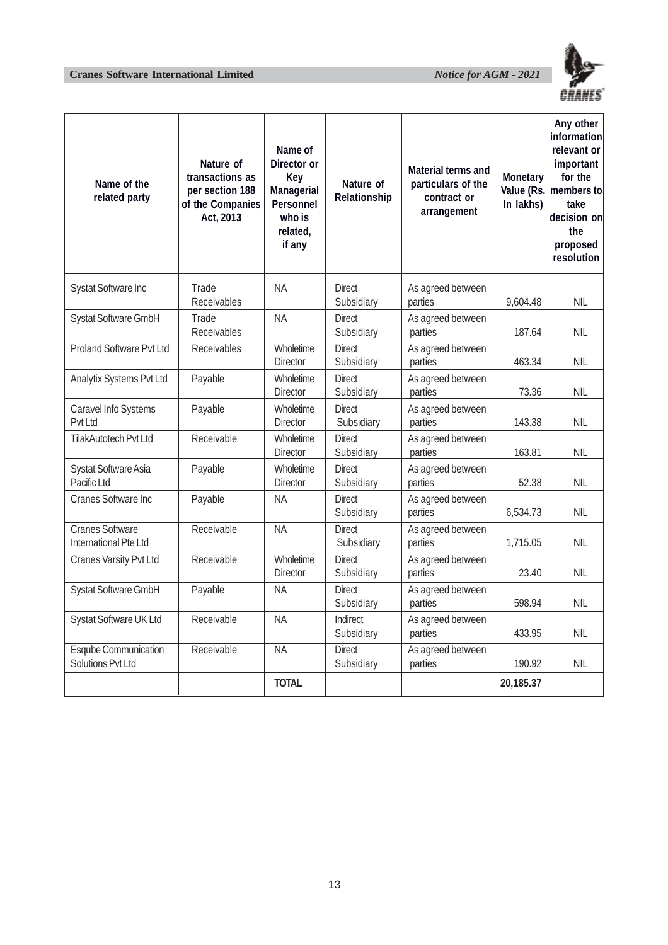

| Name of the<br>related party                     | Nature of<br>transactions as<br>per section 188<br>of the Companies<br>Act, 2013 | Name of<br>Director or<br>Key<br>Managerial<br>Personnel<br>who is<br>related,<br>if any | Nature of<br>Relationship   | Material terms and<br>particulars of the<br>contract or<br>arrangement | Monetary<br>In lakhs) | Any other<br>information<br>relevant or<br>important<br>for the<br>Value (Rs.   members to  <br>take<br>decision on<br>the<br>proposed<br>resolution |
|--------------------------------------------------|----------------------------------------------------------------------------------|------------------------------------------------------------------------------------------|-----------------------------|------------------------------------------------------------------------|-----------------------|------------------------------------------------------------------------------------------------------------------------------------------------------|
| Systat Software Inc                              | Trade<br>Receivables                                                             | <b>NA</b>                                                                                | <b>Direct</b><br>Subsidiary | As agreed between<br>parties                                           | 9,604.48              | <b>NIL</b>                                                                                                                                           |
| Systat Software GmbH                             | Trade<br>Receivables                                                             | <b>NA</b>                                                                                | <b>Direct</b><br>Subsidiary | As agreed between<br>parties                                           | 187.64                | <b>NIL</b>                                                                                                                                           |
| Proland Software Pvt Ltd                         | Receivables                                                                      | Wholetime<br><b>Director</b>                                                             | <b>Direct</b><br>Subsidiary | As agreed between<br>parties                                           | 463.34                | <b>NIL</b>                                                                                                                                           |
| Analytix Systems Pvt Ltd                         | Payable                                                                          | Wholetime<br>Director                                                                    | <b>Direct</b><br>Subsidiary | As agreed between<br>parties                                           | 73.36                 | <b>NIL</b>                                                                                                                                           |
| Caravel Info Systems<br>Pvt Ltd                  | Payable                                                                          | Wholetime<br>Director                                                                    | <b>Direct</b><br>Subsidiary | As agreed between<br>parties                                           | 143.38                | <b>NIL</b>                                                                                                                                           |
| <b>TilakAutotech Pvt Ltd</b>                     | Receivable                                                                       | Wholetime<br>Director                                                                    | <b>Direct</b><br>Subsidiary | As agreed between<br>parties                                           | 163.81                | <b>NIL</b>                                                                                                                                           |
| Systat Software Asia<br>Pacific Ltd              | Payable                                                                          | Wholetime<br><b>Director</b>                                                             | <b>Direct</b><br>Subsidiary | As agreed between<br>parties                                           | 52.38                 | <b>NIL</b>                                                                                                                                           |
| Cranes Software Inc                              | Payable                                                                          | <b>NA</b>                                                                                | <b>Direct</b><br>Subsidiary | As agreed between<br>parties                                           | 6,534.73              | <b>NIL</b>                                                                                                                                           |
| <b>Cranes Software</b><br>International Pte Ltd  | Receivable                                                                       | <b>NA</b>                                                                                | <b>Direct</b><br>Subsidiary | As agreed between<br>parties                                           | 1,715.05              | <b>NIL</b>                                                                                                                                           |
| Cranes Varsity Pvt Ltd                           | Receivable                                                                       | Wholetime<br><b>Director</b>                                                             | <b>Direct</b><br>Subsidiary | As agreed between<br>parties                                           | 23.40                 | <b>NIL</b>                                                                                                                                           |
| <b>Systat Software GmbH</b>                      | Payable                                                                          | <b>NA</b>                                                                                | <b>Direct</b><br>Subsidiary | As agreed between<br>parties                                           | 598.94                | NIL                                                                                                                                                  |
| Systat Software UK Ltd                           | Receivable                                                                       | <b>NA</b>                                                                                | Indirect<br>Subsidiary      | As agreed between<br>parties                                           | 433.95                | <b>NIL</b>                                                                                                                                           |
| <b>Esqube Communication</b><br>Solutions Pvt Ltd | Receivable                                                                       | $\overline{\mathsf{NA}}$                                                                 | <b>Direct</b><br>Subsidiary | As agreed between<br>parties                                           | 190.92                | <b>NIL</b>                                                                                                                                           |
|                                                  |                                                                                  | <b>TOTAL</b>                                                                             |                             |                                                                        | 20,185.37             |                                                                                                                                                      |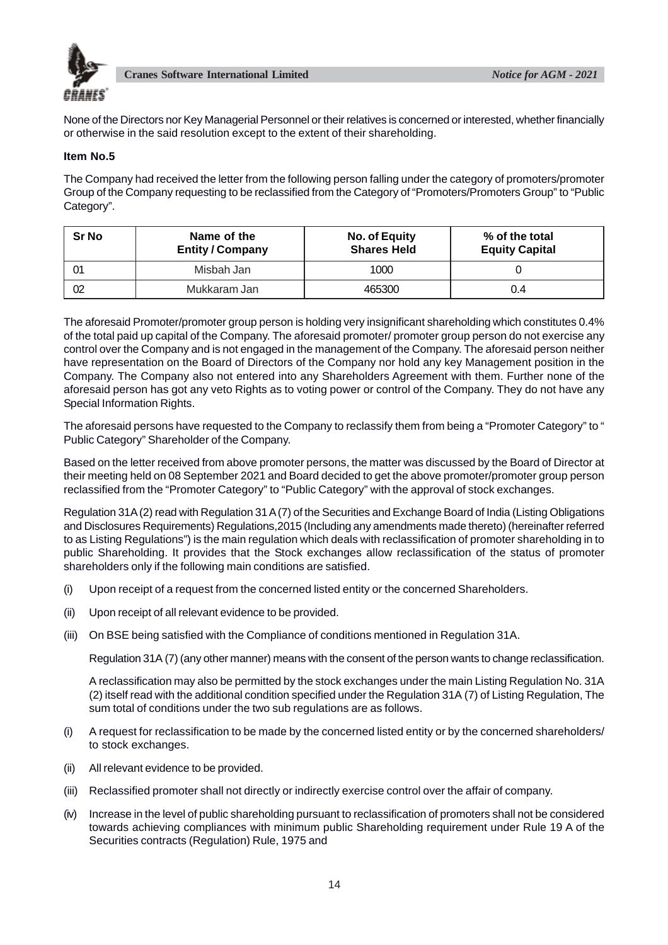

None of the Directors nor Key Managerial Personnel or their relatives is concerned or interested, whether financially or otherwise in the said resolution except to the extent of their shareholding.

## **Item No.5**

The Company had received the letter from the following person falling under the category of promoters/promoter Group of the Company requesting to be reclassified from the Category of "Promoters/Promoters Group" to "Public Category".

| <b>Sr No</b> | Name of the<br><b>Entity / Company</b> | No. of Equity<br><b>Shares Held</b> | % of the total<br><b>Equity Capital</b> |
|--------------|----------------------------------------|-------------------------------------|-----------------------------------------|
| 01           | Misbah Jan                             | 1000                                |                                         |
| 02           | Mukkaram Jan                           | 465300                              | 0.4                                     |

The aforesaid Promoter/promoter group person is holding very insignificant shareholding which constitutes 0.4% of the total paid up capital of the Company. The aforesaid promoter/ promoter group person do not exercise any control over the Company and is not engaged in the management of the Company. The aforesaid person neither have representation on the Board of Directors of the Company nor hold any key Management position in the Company. The Company also not entered into any Shareholders Agreement with them. Further none of the aforesaid person has got any veto Rights as to voting power or control of the Company. They do not have any Special Information Rights.

The aforesaid persons have requested to the Company to reclassify them from being a "Promoter Category" to " Public Category" Shareholder of the Company.

Based on the letter received from above promoter persons, the matter was discussed by the Board of Director at their meeting held on 08 September 2021 and Board decided to get the above promoter/promoter group person reclassified from the "Promoter Category" to "Public Category" with the approval of stock exchanges.

Regulation 31A (2) read with Regulation 31 A (7) of the Securities and Exchange Board of India (Listing Obligations and Disclosures Requirements) Regulations,2015 (Including any amendments made thereto) (hereinafter referred to as Listing Regulations") is the main regulation which deals with reclassification of promoter shareholding in to public Shareholding. It provides that the Stock exchanges allow reclassification of the status of promoter shareholders only if the following main conditions are satisfied.

- (i) Upon receipt of a request from the concerned listed entity or the concerned Shareholders.
- (ii) Upon receipt of all relevant evidence to be provided.
- (iii) On BSE being satisfied with the Compliance of conditions mentioned in Regulation 31A.

Regulation 31A (7) (any other manner) means with the consent of the person wants to change reclassification.

A reclassification may also be permitted by the stock exchanges under the main Listing Regulation No. 31A (2) itself read with the additional condition specified under the Regulation 31A (7) of Listing Regulation, The sum total of conditions under the two sub regulations are as follows.

- (i) A request for reclassification to be made by the concerned listed entity or by the concerned shareholders/ to stock exchanges.
- (ii) All relevant evidence to be provided.
- (iii) Reclassified promoter shall not directly or indirectly exercise control over the affair of company.
- (iv) Increase in the level of public shareholding pursuant to reclassification of promoters shall not be considered towards achieving compliances with minimum public Shareholding requirement under Rule 19 A of the Securities contracts (Regulation) Rule, 1975 and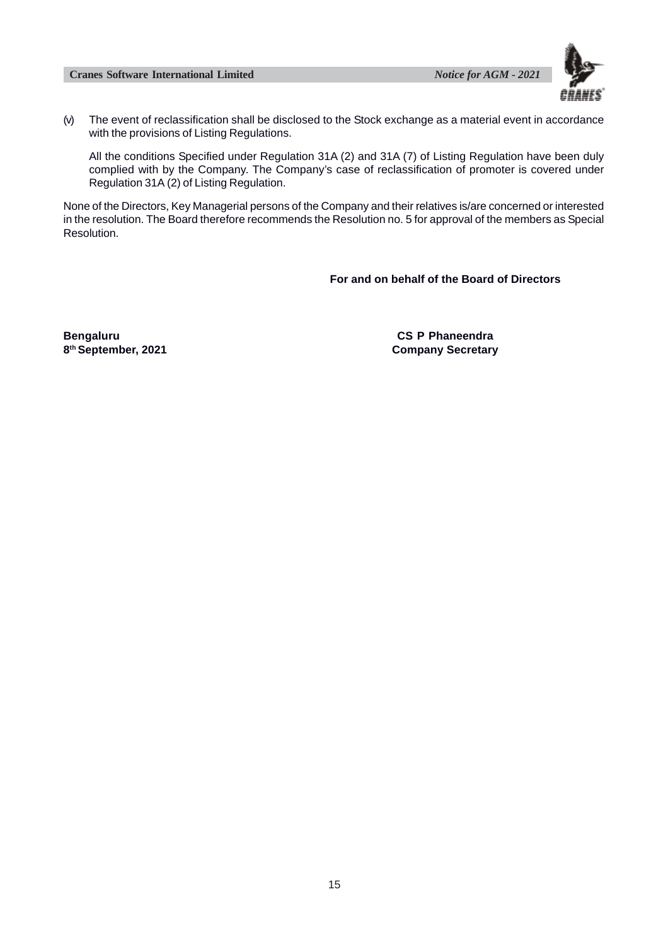

(v) The event of reclassification shall be disclosed to the Stock exchange as a material event in accordance with the provisions of Listing Regulations.

All the conditions Specified under Regulation 31A (2) and 31A (7) of Listing Regulation have been duly complied with by the Company. The Company's case of reclassification of promoter is covered under Regulation 31A (2) of Listing Regulation.

None of the Directors, Key Managerial persons of the Company and their relatives is/are concerned or interested in the resolution. The Board therefore recommends the Resolution no. 5 for approval of the members as Special Resolution.

**For and on behalf of the Board of Directors**

**Bengaluru CS P Phaneendra**

8<sup>th</sup> September, 2021 **Company Secretary**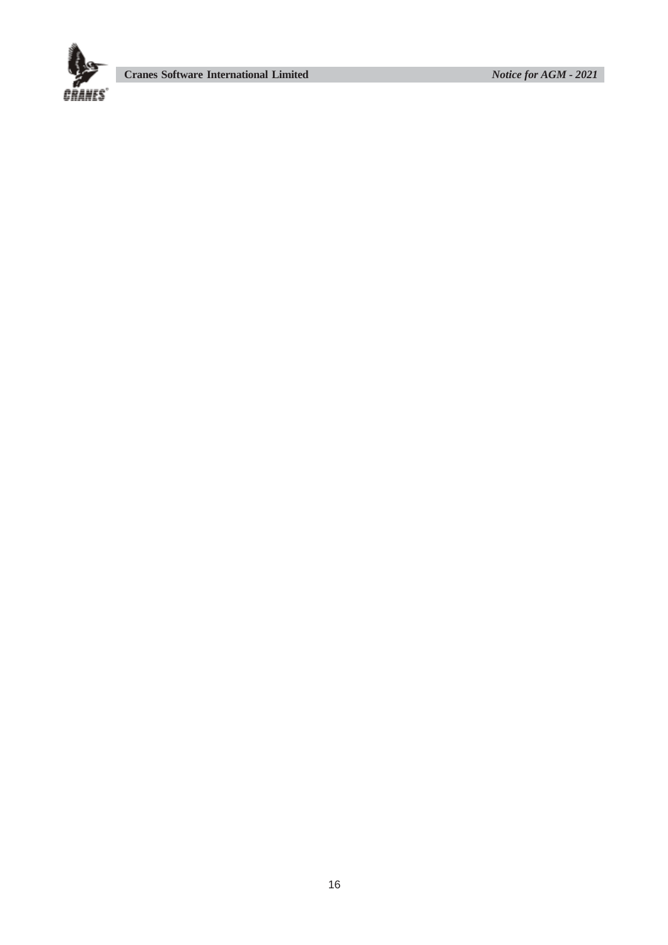

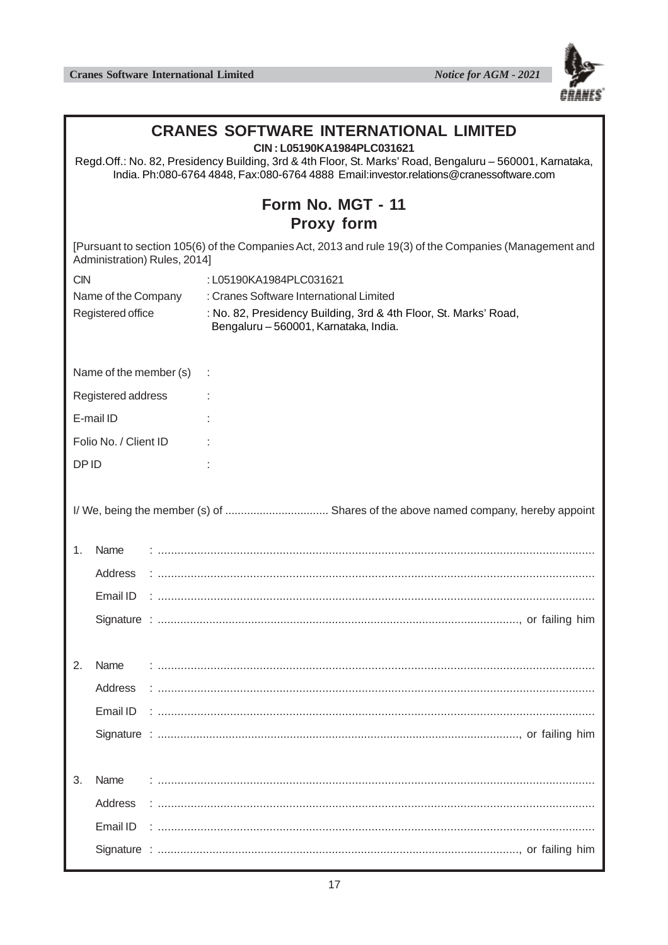

| <b>CRANES SOFTWARE INTERNATIONAL LIMITED</b><br>CIN: L05190KA1984PLC031621<br>Regd.Off.: No. 82, Presidency Building, 3rd & 4th Floor, St. Marks' Road, Bengaluru - 560001, Karnataka,<br>India. Ph:080-6764 4848, Fax:080-6764 4888 Email:investor.relations@cranessoftware.com |                        |                                                                                                                                        |  |  |  |  |
|----------------------------------------------------------------------------------------------------------------------------------------------------------------------------------------------------------------------------------------------------------------------------------|------------------------|----------------------------------------------------------------------------------------------------------------------------------------|--|--|--|--|
|                                                                                                                                                                                                                                                                                  | Form No. MGT - 11      |                                                                                                                                        |  |  |  |  |
|                                                                                                                                                                                                                                                                                  |                        | <b>Proxy form</b>                                                                                                                      |  |  |  |  |
|                                                                                                                                                                                                                                                                                  |                        | [Pursuant to section 105(6) of the Companies Act, 2013 and rule 19(3) of the Companies (Management and<br>Administration) Rules, 2014] |  |  |  |  |
| <b>CIN</b>                                                                                                                                                                                                                                                                       |                        | :L05190KA1984PLC031621                                                                                                                 |  |  |  |  |
|                                                                                                                                                                                                                                                                                  | Name of the Company    | : Cranes Software International Limited                                                                                                |  |  |  |  |
|                                                                                                                                                                                                                                                                                  | Registered office      | : No. 82, Presidency Building, 3rd & 4th Floor, St. Marks' Road,<br>Bengaluru - 560001, Karnataka, India.                              |  |  |  |  |
|                                                                                                                                                                                                                                                                                  | Name of the member (s) | ÷                                                                                                                                      |  |  |  |  |
|                                                                                                                                                                                                                                                                                  | Registered address     |                                                                                                                                        |  |  |  |  |
|                                                                                                                                                                                                                                                                                  | E-mail ID              |                                                                                                                                        |  |  |  |  |
|                                                                                                                                                                                                                                                                                  | Folio No. / Client ID  |                                                                                                                                        |  |  |  |  |
| DP ID                                                                                                                                                                                                                                                                            |                        |                                                                                                                                        |  |  |  |  |
|                                                                                                                                                                                                                                                                                  |                        |                                                                                                                                        |  |  |  |  |
| 1.                                                                                                                                                                                                                                                                               | Name                   |                                                                                                                                        |  |  |  |  |
|                                                                                                                                                                                                                                                                                  | Address                |                                                                                                                                        |  |  |  |  |
|                                                                                                                                                                                                                                                                                  |                        |                                                                                                                                        |  |  |  |  |
|                                                                                                                                                                                                                                                                                  |                        |                                                                                                                                        |  |  |  |  |
| 2.                                                                                                                                                                                                                                                                               | Name                   |                                                                                                                                        |  |  |  |  |
|                                                                                                                                                                                                                                                                                  | Address                |                                                                                                                                        |  |  |  |  |
|                                                                                                                                                                                                                                                                                  |                        |                                                                                                                                        |  |  |  |  |
|                                                                                                                                                                                                                                                                                  |                        |                                                                                                                                        |  |  |  |  |
|                                                                                                                                                                                                                                                                                  |                        |                                                                                                                                        |  |  |  |  |
| 3.                                                                                                                                                                                                                                                                               | Name                   |                                                                                                                                        |  |  |  |  |
|                                                                                                                                                                                                                                                                                  | Address                |                                                                                                                                        |  |  |  |  |
|                                                                                                                                                                                                                                                                                  | Email ID               |                                                                                                                                        |  |  |  |  |
|                                                                                                                                                                                                                                                                                  |                        |                                                                                                                                        |  |  |  |  |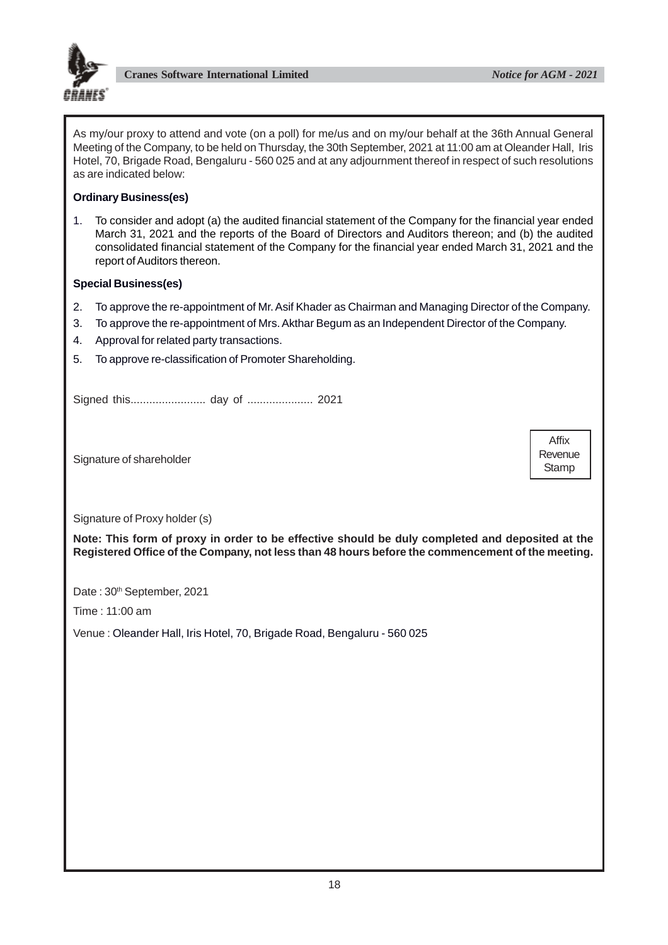

As my/our proxy to attend and vote (on a poll) for me/us and on my/our behalf at the 36th Annual General Meeting of the Company, to be held on Thursday, the 30th September, 2021 at 11:00 am at Oleander Hall, Iris Hotel, 70, Brigade Road, Bengaluru - 560 025 and at any adjournment thereof in respect of such resolutions as are indicated below:

## **Ordinary Business(es)**

1. To consider and adopt (a) the audited financial statement of the Company for the financial year ended March 31, 2021 and the reports of the Board of Directors and Auditors thereon; and (b) the audited consolidated financial statement of the Company for the financial year ended March 31, 2021 and the report of Auditors thereon.

## **Special Business(es)**

- 2. To approve the re-appointment of Mr. Asif Khader as Chairman and Managing Director of the Company.
- 3. To approve the re-appointment of Mrs. Akthar Begum as an Independent Director of the Company.
- 4. Approval for related party transactions.
- 5. To approve re-classification of Promoter Shareholding.

Signed this........................ day of ..................... 2021

Signature of shareholder

Affix **Revenue Stamp** 

Signature of Proxy holder (s)

**Note: This form of proxy in order to be effective should be duly completed and deposited at the Registered Office of the Company, not less than 48 hours before the commencement of the meeting.**

Date: 30<sup>th</sup> September, 2021

Time : 11:00 am

Venue : Oleander Hall, Iris Hotel, 70, Brigade Road, Bengaluru - 560 025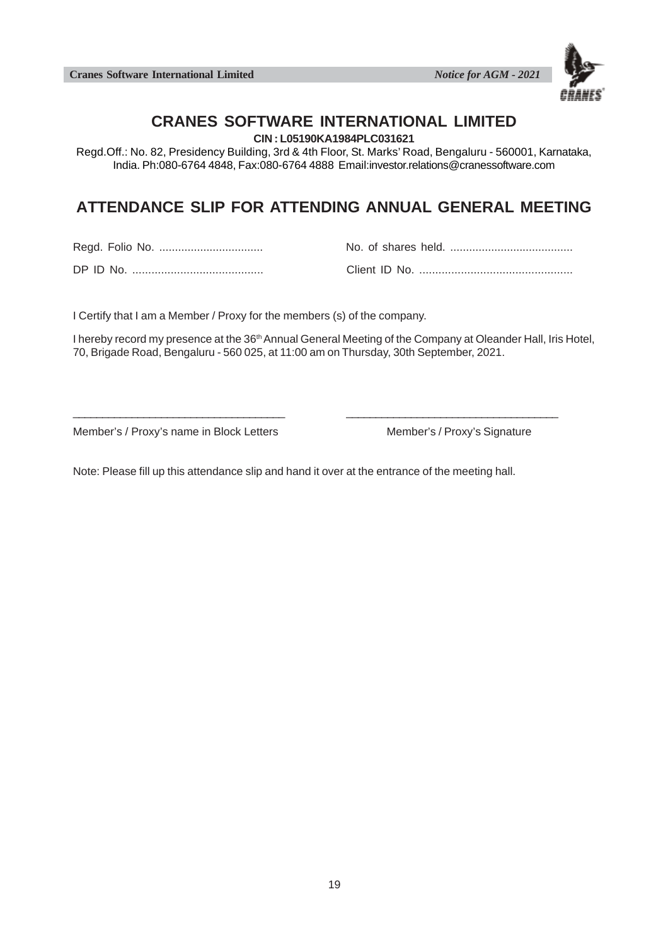

# **CRANES SOFTWARE INTERNATIONAL LIMITED**

**CIN : L05190KA1984PLC031621**

Regd.Off.: No. 82, Presidency Building, 3rd & 4th Floor, St. Marks' Road, Bengaluru - 560001, Karnataka, India. Ph:080-6764 4848, Fax:080-6764 4888 Email:investor.relations@cranessoftware.com

# **ATTENDANCE SLIP FOR ATTENDING ANNUAL GENERAL MEETING**

Regd. Folio No. ................................. No. of shares held. .......................................

DP ID No. ......................................... Client ID No. ................................................

I Certify that I am a Member / Proxy for the members (s) of the company.

I hereby record my presence at the 36<sup>th</sup> Annual General Meeting of the Company at Oleander Hall, Iris Hotel, 70, Brigade Road, Bengaluru - 560 025, at 11:00 am on Thursday, 30th September, 2021.

\_\_\_\_\_\_\_\_\_\_\_\_\_\_\_\_\_\_\_\_\_\_\_\_\_\_\_\_\_\_\_\_\_\_\_\_ \_\_\_\_\_\_\_\_\_\_\_\_\_\_\_\_\_\_\_\_\_\_\_\_\_\_\_\_\_\_\_\_\_\_\_\_

Member's / Proxy's name in Block Letters Member's / Proxy's Signature

Note: Please fill up this attendance slip and hand it over at the entrance of the meeting hall.